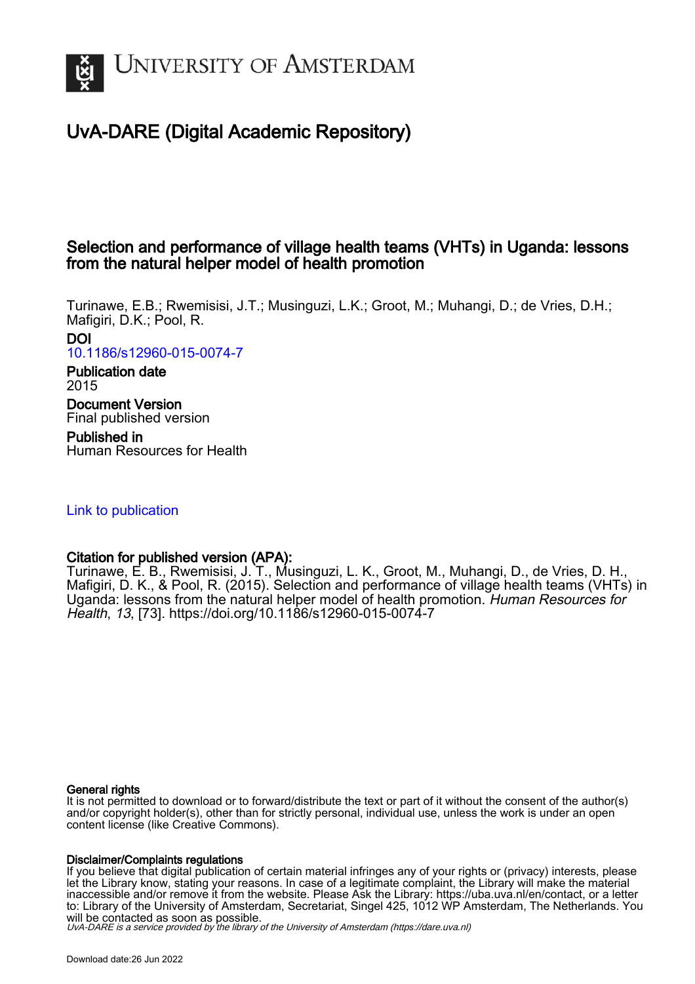

# UvA-DARE (Digital Academic Repository)

# Selection and performance of village health teams (VHTs) in Uganda: lessons from the natural helper model of health promotion

Turinawe, E.B.; Rwemisisi, J.T.; Musinguzi, L.K.; Groot, M.; Muhangi, D.; de Vries, D.H.; Mafigiri, D.K.; Pool, R. DOI [10.1186/s12960-015-0074-7](https://doi.org/10.1186/s12960-015-0074-7) Publication date

2015 Document Version Final published version

Published in Human Resources for Health

# [Link to publication](https://dare.uva.nl/personal/pure/en/publications/selection-and-performance-of-village-health-teams-vhts-in-uganda-lessons-from-the-natural-helper-model-of-health-promotion(7358267a-b5cb-4eea-be6d-e98274c78bcc).html)

# Citation for published version (APA):

Turinawe, E. B., Rwemisisi, J. T., Musinguzi, L. K., Groot, M., Muhangi, D., de Vries, D. H., Mafigiri, D. K., & Pool, R. (2015). Selection and performance of village health teams (VHTs) in Uganda: lessons from the natural helper model of health promotion. Human Resources for Health, 13, [73]. <https://doi.org/10.1186/s12960-015-0074-7>

# General rights

It is not permitted to download or to forward/distribute the text or part of it without the consent of the author(s) and/or copyright holder(s), other than for strictly personal, individual use, unless the work is under an open content license (like Creative Commons).

# Disclaimer/Complaints regulations

If you believe that digital publication of certain material infringes any of your rights or (privacy) interests, please let the Library know, stating your reasons. In case of a legitimate complaint, the Library will make the material inaccessible and/or remove it from the website. Please Ask the Library: https://uba.uva.nl/en/contact, or a letter to: Library of the University of Amsterdam, Secretariat, Singel 425, 1012 WP Amsterdam, The Netherlands. You will be contacted as soon as possible.

UvA-DARE is a service provided by the library of the University of Amsterdam (http*s*://dare.uva.nl)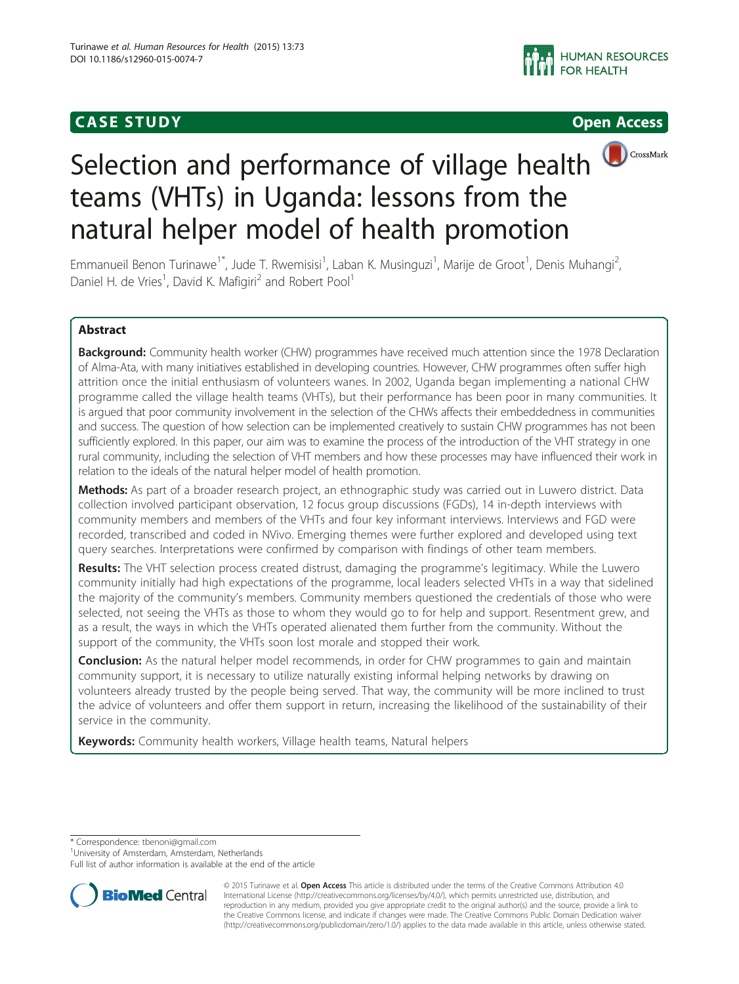# **CASE STUDY CASE STUDY Open Access**





# Selection and performance of village health teams (VHTs) in Uganda: lessons from the natural helper model of health promotion

Emmanueil Benon Turinawe<sup>1\*</sup>, Jude T. Rwemisisi<sup>1</sup>, Laban K. Musinguzi<sup>1</sup>, Marije de Groot<sup>1</sup>, Denis Muhangi<sup>2</sup> , Daniel H. de Vries<sup>1</sup>, David K. Mafigiri<sup>2</sup> and Robert Pool<sup>1</sup>

# Abstract

**Background:** Community health worker (CHW) programmes have received much attention since the 1978 Declaration of Alma-Ata, with many initiatives established in developing countries. However, CHW programmes often suffer high attrition once the initial enthusiasm of volunteers wanes. In 2002, Uganda began implementing a national CHW programme called the village health teams (VHTs), but their performance has been poor in many communities. It is argued that poor community involvement in the selection of the CHWs affects their embeddedness in communities and success. The question of how selection can be implemented creatively to sustain CHW programmes has not been sufficiently explored. In this paper, our aim was to examine the process of the introduction of the VHT strategy in one rural community, including the selection of VHT members and how these processes may have influenced their work in relation to the ideals of the natural helper model of health promotion.

Methods: As part of a broader research project, an ethnographic study was carried out in Luwero district. Data collection involved participant observation, 12 focus group discussions (FGDs), 14 in-depth interviews with community members and members of the VHTs and four key informant interviews. Interviews and FGD were recorded, transcribed and coded in NVivo. Emerging themes were further explored and developed using text query searches. Interpretations were confirmed by comparison with findings of other team members.

Results: The VHT selection process created distrust, damaging the programme's legitimacy. While the Luwero community initially had high expectations of the programme, local leaders selected VHTs in a way that sidelined the majority of the community's members. Community members questioned the credentials of those who were selected, not seeing the VHTs as those to whom they would go to for help and support. Resentment grew, and as a result, the ways in which the VHTs operated alienated them further from the community. Without the support of the community, the VHTs soon lost morale and stopped their work.

**Conclusion:** As the natural helper model recommends, in order for CHW programmes to gain and maintain community support, it is necessary to utilize naturally existing informal helping networks by drawing on volunteers already trusted by the people being served. That way, the community will be more inclined to trust the advice of volunteers and offer them support in return, increasing the likelihood of the sustainability of their service in the community.

Keywords: Community health workers, Village health teams, Natural helpers

\* Correspondence: [tbenoni@gmail.com](mailto:tbenoni@gmail.com) <sup>1</sup>

<sup>1</sup> University of Amsterdam, Amsterdam, Netherlands

Full list of author information is available at the end of the article



© 2015 Turinawe et al. Open Access This article is distributed under the terms of the Creative Commons Attribution 4.0 International License [\(http://creativecommons.org/licenses/by/4.0/](http://creativecommons.org/licenses/by/4.0/)), which permits unrestricted use, distribution, and reproduction in any medium, provided you give appropriate credit to the original author(s) and the source, provide a link to the Creative Commons license, and indicate if changes were made. The Creative Commons Public Domain Dedication waiver [\(http://creativecommons.org/publicdomain/zero/1.0/](http://creativecommons.org/publicdomain/zero/1.0/)) applies to the data made available in this article, unless otherwise stated.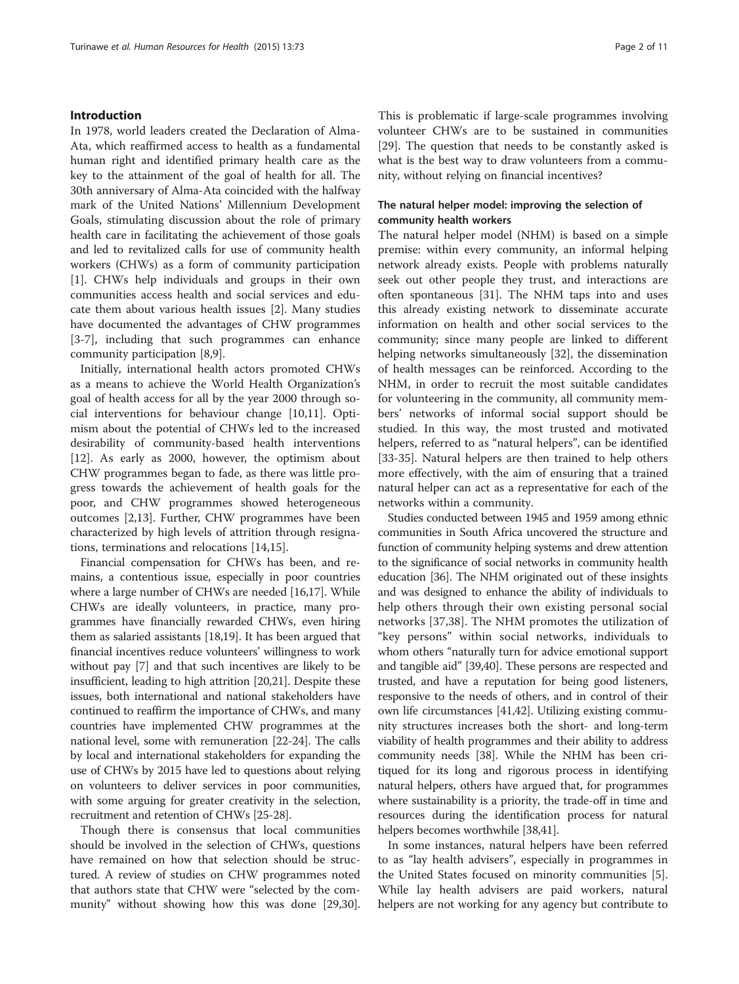## Introduction

In 1978, world leaders created the Declaration of Alma-Ata, which reaffirmed access to health as a fundamental human right and identified primary health care as the key to the attainment of the goal of health for all. The 30th anniversary of Alma-Ata coincided with the halfway mark of the United Nations' Millennium Development Goals, stimulating discussion about the role of primary health care in facilitating the achievement of those goals and led to revitalized calls for use of community health workers (CHWs) as a form of community participation [[1\]](#page-10-0). CHWs help individuals and groups in their own communities access health and social services and educate them about various health issues [\[2](#page-10-0)]. Many studies have documented the advantages of CHW programmes [[3-7](#page-10-0)], including that such programmes can enhance community participation [\[8,9](#page-10-0)].

Initially, international health actors promoted CHWs as a means to achieve the World Health Organization's goal of health access for all by the year 2000 through social interventions for behaviour change [[10,11\]](#page-10-0). Optimism about the potential of CHWs led to the increased desirability of community-based health interventions [[12\]](#page-10-0). As early as 2000, however, the optimism about CHW programmes began to fade, as there was little progress towards the achievement of health goals for the poor, and CHW programmes showed heterogeneous outcomes [\[2,13](#page-10-0)]. Further, CHW programmes have been characterized by high levels of attrition through resignations, terminations and relocations [\[14,15](#page-10-0)].

Financial compensation for CHWs has been, and remains, a contentious issue, especially in poor countries where a large number of CHWs are needed [\[16,17](#page-10-0)]. While CHWs are ideally volunteers, in practice, many programmes have financially rewarded CHWs, even hiring them as salaried assistants [\[18,19](#page-10-0)]. It has been argued that financial incentives reduce volunteers' willingness to work without pay [\[7](#page-10-0)] and that such incentives are likely to be insufficient, leading to high attrition [\[20,21\]](#page-10-0). Despite these issues, both international and national stakeholders have continued to reaffirm the importance of CHWs, and many countries have implemented CHW programmes at the national level, some with remuneration [[22](#page-10-0)-[24](#page-10-0)]. The calls by local and international stakeholders for expanding the use of CHWs by 2015 have led to questions about relying on volunteers to deliver services in poor communities, with some arguing for greater creativity in the selection, recruitment and retention of CHWs [\[25-28\]](#page-10-0).

Though there is consensus that local communities should be involved in the selection of CHWs, questions have remained on how that selection should be structured. A review of studies on CHW programmes noted that authors state that CHW were "selected by the community" without showing how this was done [\[29,30](#page-10-0)].

This is problematic if large-scale programmes involving volunteer CHWs are to be sustained in communities [[29\]](#page-10-0). The question that needs to be constantly asked is what is the best way to draw volunteers from a community, without relying on financial incentives?

# The natural helper model: improving the selection of community health workers

The natural helper model (NHM) is based on a simple premise: within every community, an informal helping network already exists. People with problems naturally seek out other people they trust, and interactions are often spontaneous [\[31](#page-10-0)]. The NHM taps into and uses this already existing network to disseminate accurate information on health and other social services to the community; since many people are linked to different helping networks simultaneously [[32\]](#page-10-0), the dissemination of health messages can be reinforced. According to the NHM, in order to recruit the most suitable candidates for volunteering in the community, all community members' networks of informal social support should be studied. In this way, the most trusted and motivated helpers, referred to as "natural helpers", can be identified [[33-35](#page-10-0)]. Natural helpers are then trained to help others more effectively, with the aim of ensuring that a trained natural helper can act as a representative for each of the networks within a community.

Studies conducted between 1945 and 1959 among ethnic communities in South Africa uncovered the structure and function of community helping systems and drew attention to the significance of social networks in community health education [[36](#page-11-0)]. The NHM originated out of these insights and was designed to enhance the ability of individuals to help others through their own existing personal social networks [\[37,38](#page-11-0)]. The NHM promotes the utilization of "key persons" within social networks, individuals to whom others "naturally turn for advice emotional support and tangible aid" [\[39,40](#page-11-0)]. These persons are respected and trusted, and have a reputation for being good listeners, responsive to the needs of others, and in control of their own life circumstances [\[41,42\]](#page-11-0). Utilizing existing community structures increases both the short- and long-term viability of health programmes and their ability to address community needs [[38](#page-11-0)]. While the NHM has been critiqued for its long and rigorous process in identifying natural helpers, others have argued that, for programmes where sustainability is a priority, the trade-off in time and resources during the identification process for natural helpers becomes worthwhile [\[38,41\]](#page-11-0).

In some instances, natural helpers have been referred to as "lay health advisers", especially in programmes in the United States focused on minority communities [\[5](#page-10-0)]. While lay health advisers are paid workers, natural helpers are not working for any agency but contribute to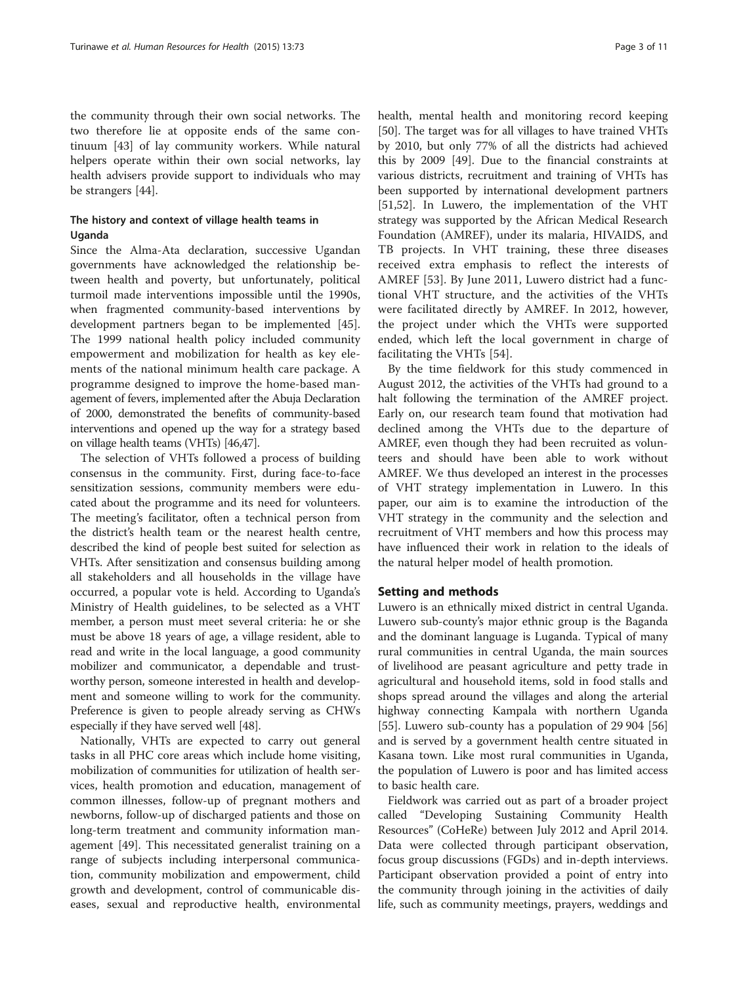the community through their own social networks. The two therefore lie at opposite ends of the same continuum [[43](#page-11-0)] of lay community workers. While natural helpers operate within their own social networks, lay health advisers provide support to individuals who may be strangers [\[44](#page-11-0)].

# The history and context of village health teams in Uganda

Since the Alma-Ata declaration, successive Ugandan governments have acknowledged the relationship between health and poverty, but unfortunately, political turmoil made interventions impossible until the 1990s, when fragmented community-based interventions by development partners began to be implemented [\[45](#page-11-0)]. The 1999 national health policy included community empowerment and mobilization for health as key elements of the national minimum health care package. A programme designed to improve the home-based management of fevers, implemented after the Abuja Declaration of 2000, demonstrated the benefits of community-based interventions and opened up the way for a strategy based on village health teams (VHTs) [[46,47](#page-11-0)].

The selection of VHTs followed a process of building consensus in the community. First, during face-to-face sensitization sessions, community members were educated about the programme and its need for volunteers. The meeting's facilitator, often a technical person from the district's health team or the nearest health centre, described the kind of people best suited for selection as VHTs. After sensitization and consensus building among all stakeholders and all households in the village have occurred, a popular vote is held. According to Uganda's Ministry of Health guidelines, to be selected as a VHT member, a person must meet several criteria: he or she must be above 18 years of age, a village resident, able to read and write in the local language, a good community mobilizer and communicator, a dependable and trustworthy person, someone interested in health and development and someone willing to work for the community. Preference is given to people already serving as CHWs especially if they have served well [[48](#page-11-0)].

Nationally, VHTs are expected to carry out general tasks in all PHC core areas which include home visiting, mobilization of communities for utilization of health services, health promotion and education, management of common illnesses, follow-up of pregnant mothers and newborns, follow-up of discharged patients and those on long-term treatment and community information management [\[49](#page-11-0)]. This necessitated generalist training on a range of subjects including interpersonal communication, community mobilization and empowerment, child growth and development, control of communicable diseases, sexual and reproductive health, environmental health, mental health and monitoring record keeping [[50\]](#page-11-0). The target was for all villages to have trained VHTs by 2010, but only 77% of all the districts had achieved this by 2009 [\[49](#page-11-0)]. Due to the financial constraints at various districts, recruitment and training of VHTs has been supported by international development partners [[51,52\]](#page-11-0). In Luwero, the implementation of the VHT strategy was supported by the African Medical Research Foundation (AMREF), under its malaria, HIVAIDS, and TB projects. In VHT training, these three diseases received extra emphasis to reflect the interests of AMREF [[53\]](#page-11-0). By June 2011, Luwero district had a functional VHT structure, and the activities of the VHTs were facilitated directly by AMREF. In 2012, however, the project under which the VHTs were supported ended, which left the local government in charge of facilitating the VHTs [[54\]](#page-11-0).

By the time fieldwork for this study commenced in August 2012, the activities of the VHTs had ground to a halt following the termination of the AMREF project. Early on, our research team found that motivation had declined among the VHTs due to the departure of AMREF, even though they had been recruited as volunteers and should have been able to work without AMREF. We thus developed an interest in the processes of VHT strategy implementation in Luwero. In this paper, our aim is to examine the introduction of the VHT strategy in the community and the selection and recruitment of VHT members and how this process may have influenced their work in relation to the ideals of the natural helper model of health promotion.

# Setting and methods

Luwero is an ethnically mixed district in central Uganda. Luwero sub-county's major ethnic group is the Baganda and the dominant language is Luganda. Typical of many rural communities in central Uganda, the main sources of livelihood are peasant agriculture and petty trade in agricultural and household items, sold in food stalls and shops spread around the villages and along the arterial highway connecting Kampala with northern Uganda [[55\]](#page-11-0). Luwero sub-county has a population of 29 904 [[56](#page-11-0)] and is served by a government health centre situated in Kasana town. Like most rural communities in Uganda, the population of Luwero is poor and has limited access to basic health care.

Fieldwork was carried out as part of a broader project called "Developing Sustaining Community Health Resources" (CoHeRe) between July 2012 and April 2014. Data were collected through participant observation, focus group discussions (FGDs) and in-depth interviews. Participant observation provided a point of entry into the community through joining in the activities of daily life, such as community meetings, prayers, weddings and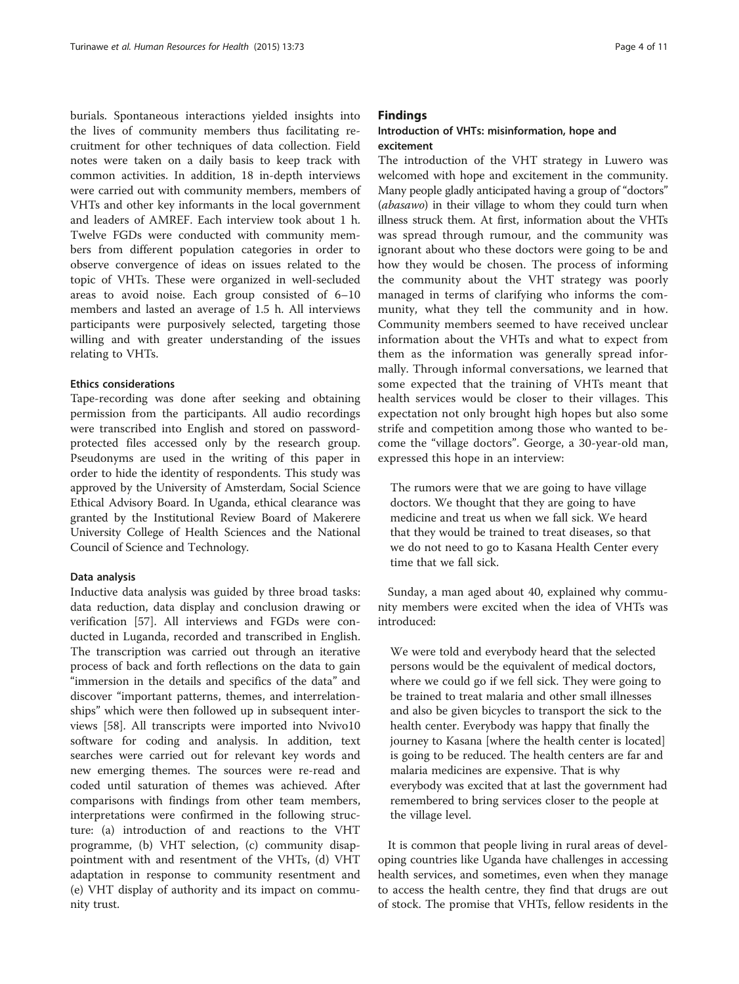burials. Spontaneous interactions yielded insights into the lives of community members thus facilitating recruitment for other techniques of data collection. Field notes were taken on a daily basis to keep track with common activities. In addition, 18 in-depth interviews were carried out with community members, members of VHTs and other key informants in the local government and leaders of AMREF. Each interview took about 1 h. Twelve FGDs were conducted with community members from different population categories in order to observe convergence of ideas on issues related to the topic of VHTs. These were organized in well-secluded areas to avoid noise. Each group consisted of 6–10 members and lasted an average of 1.5 h. All interviews participants were purposively selected, targeting those willing and with greater understanding of the issues relating to VHTs.

## Ethics considerations

Tape-recording was done after seeking and obtaining permission from the participants. All audio recordings were transcribed into English and stored on passwordprotected files accessed only by the research group. Pseudonyms are used in the writing of this paper in order to hide the identity of respondents. This study was approved by the University of Amsterdam, Social Science Ethical Advisory Board. In Uganda, ethical clearance was granted by the Institutional Review Board of Makerere University College of Health Sciences and the National Council of Science and Technology.

# Data analysis

Inductive data analysis was guided by three broad tasks: data reduction, data display and conclusion drawing or verification [\[57\]](#page-11-0). All interviews and FGDs were conducted in Luganda, recorded and transcribed in English. The transcription was carried out through an iterative process of back and forth reflections on the data to gain "immersion in the details and specifics of the data" and discover "important patterns, themes, and interrelationships" which were then followed up in subsequent interviews [\[58](#page-11-0)]. All transcripts were imported into Nvivo10 software for coding and analysis. In addition, text searches were carried out for relevant key words and new emerging themes. The sources were re-read and coded until saturation of themes was achieved. After comparisons with findings from other team members, interpretations were confirmed in the following structure: (a) introduction of and reactions to the VHT programme, (b) VHT selection, (c) community disappointment with and resentment of the VHTs, (d) VHT adaptation in response to community resentment and (e) VHT display of authority and its impact on community trust.

# Findings

# Introduction of VHTs: misinformation, hope and excitement

The introduction of the VHT strategy in Luwero was welcomed with hope and excitement in the community. Many people gladly anticipated having a group of "doctors" (abasawo) in their village to whom they could turn when illness struck them. At first, information about the VHTs was spread through rumour, and the community was ignorant about who these doctors were going to be and how they would be chosen. The process of informing the community about the VHT strategy was poorly managed in terms of clarifying who informs the community, what they tell the community and in how. Community members seemed to have received unclear information about the VHTs and what to expect from them as the information was generally spread informally. Through informal conversations, we learned that some expected that the training of VHTs meant that health services would be closer to their villages. This expectation not only brought high hopes but also some strife and competition among those who wanted to become the "village doctors". George, a 30-year-old man, expressed this hope in an interview:

The rumors were that we are going to have village doctors. We thought that they are going to have medicine and treat us when we fall sick. We heard that they would be trained to treat diseases, so that we do not need to go to Kasana Health Center every time that we fall sick.

Sunday, a man aged about 40, explained why community members were excited when the idea of VHTs was introduced:

We were told and everybody heard that the selected persons would be the equivalent of medical doctors, where we could go if we fell sick. They were going to be trained to treat malaria and other small illnesses and also be given bicycles to transport the sick to the health center. Everybody was happy that finally the journey to Kasana [where the health center is located] is going to be reduced. The health centers are far and malaria medicines are expensive. That is why everybody was excited that at last the government had remembered to bring services closer to the people at the village level.

It is common that people living in rural areas of developing countries like Uganda have challenges in accessing health services, and sometimes, even when they manage to access the health centre, they find that drugs are out of stock. The promise that VHTs, fellow residents in the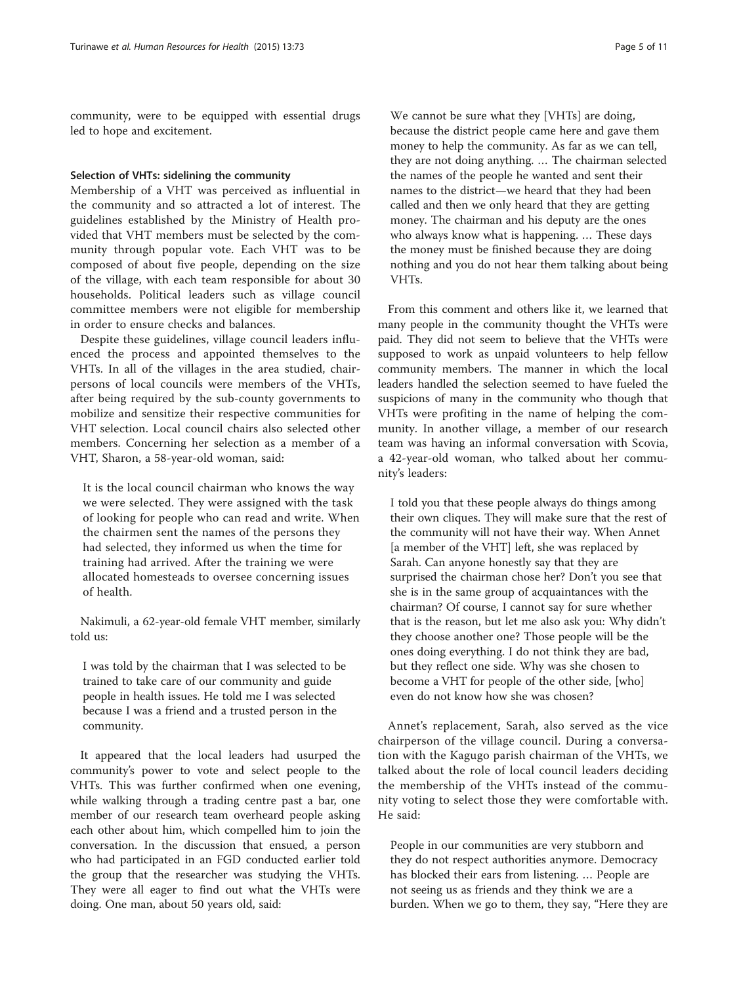community, were to be equipped with essential drugs led to hope and excitement.

#### Selection of VHTs: sidelining the community

Membership of a VHT was perceived as influential in the community and so attracted a lot of interest. The guidelines established by the Ministry of Health provided that VHT members must be selected by the community through popular vote. Each VHT was to be composed of about five people, depending on the size of the village, with each team responsible for about 30 households. Political leaders such as village council committee members were not eligible for membership in order to ensure checks and balances.

Despite these guidelines, village council leaders influenced the process and appointed themselves to the VHTs. In all of the villages in the area studied, chairpersons of local councils were members of the VHTs, after being required by the sub-county governments to mobilize and sensitize their respective communities for VHT selection. Local council chairs also selected other members. Concerning her selection as a member of a VHT, Sharon, a 58-year-old woman, said:

It is the local council chairman who knows the way we were selected. They were assigned with the task of looking for people who can read and write. When the chairmen sent the names of the persons they had selected, they informed us when the time for training had arrived. After the training we were allocated homesteads to oversee concerning issues of health.

Nakimuli, a 62-year-old female VHT member, similarly told us:

I was told by the chairman that I was selected to be trained to take care of our community and guide people in health issues. He told me I was selected because I was a friend and a trusted person in the community.

It appeared that the local leaders had usurped the community's power to vote and select people to the VHTs. This was further confirmed when one evening, while walking through a trading centre past a bar, one member of our research team overheard people asking each other about him, which compelled him to join the conversation. In the discussion that ensued, a person who had participated in an FGD conducted earlier told the group that the researcher was studying the VHTs. They were all eager to find out what the VHTs were doing. One man, about 50 years old, said:

We cannot be sure what they [VHTs] are doing, because the district people came here and gave them money to help the community. As far as we can tell, they are not doing anything. … The chairman selected the names of the people he wanted and sent their names to the district—we heard that they had been called and then we only heard that they are getting money. The chairman and his deputy are the ones who always know what is happening. … These days the money must be finished because they are doing nothing and you do not hear them talking about being VHTs.

From this comment and others like it, we learned that many people in the community thought the VHTs were paid. They did not seem to believe that the VHTs were supposed to work as unpaid volunteers to help fellow community members. The manner in which the local leaders handled the selection seemed to have fueled the suspicions of many in the community who though that VHTs were profiting in the name of helping the community. In another village, a member of our research team was having an informal conversation with Scovia, a 42-year-old woman, who talked about her community's leaders:

I told you that these people always do things among their own cliques. They will make sure that the rest of the community will not have their way. When Annet [a member of the VHT] left, she was replaced by Sarah. Can anyone honestly say that they are surprised the chairman chose her? Don't you see that she is in the same group of acquaintances with the chairman? Of course, I cannot say for sure whether that is the reason, but let me also ask you: Why didn't they choose another one? Those people will be the ones doing everything. I do not think they are bad, but they reflect one side. Why was she chosen to become a VHT for people of the other side, [who] even do not know how she was chosen?

Annet's replacement, Sarah, also served as the vice chairperson of the village council. During a conversation with the Kagugo parish chairman of the VHTs, we talked about the role of local council leaders deciding the membership of the VHTs instead of the community voting to select those they were comfortable with. He said:

People in our communities are very stubborn and they do not respect authorities anymore. Democracy has blocked their ears from listening. … People are not seeing us as friends and they think we are a burden. When we go to them, they say, "Here they are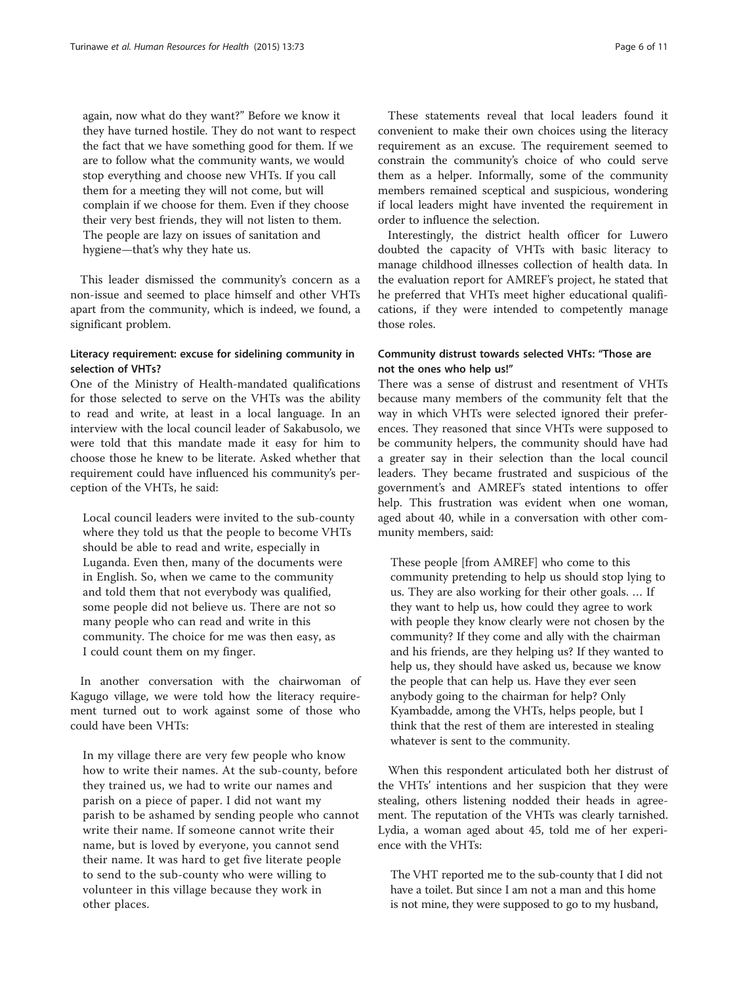again, now what do they want?" Before we know it they have turned hostile. They do not want to respect the fact that we have something good for them. If we are to follow what the community wants, we would stop everything and choose new VHTs. If you call them for a meeting they will not come, but will complain if we choose for them. Even if they choose their very best friends, they will not listen to them. The people are lazy on issues of sanitation and hygiene—that's why they hate us.

This leader dismissed the community's concern as a non-issue and seemed to place himself and other VHTs apart from the community, which is indeed, we found, a significant problem.

# Literacy requirement: excuse for sidelining community in selection of VHTs?

One of the Ministry of Health-mandated qualifications for those selected to serve on the VHTs was the ability to read and write, at least in a local language. In an interview with the local council leader of Sakabusolo, we were told that this mandate made it easy for him to choose those he knew to be literate. Asked whether that requirement could have influenced his community's perception of the VHTs, he said:

Local council leaders were invited to the sub-county where they told us that the people to become VHTs should be able to read and write, especially in Luganda. Even then, many of the documents were in English. So, when we came to the community and told them that not everybody was qualified, some people did not believe us. There are not so many people who can read and write in this community. The choice for me was then easy, as I could count them on my finger.

In another conversation with the chairwoman of Kagugo village, we were told how the literacy requirement turned out to work against some of those who could have been VHTs:

In my village there are very few people who know how to write their names. At the sub-county, before they trained us, we had to write our names and parish on a piece of paper. I did not want my parish to be ashamed by sending people who cannot write their name. If someone cannot write their name, but is loved by everyone, you cannot send their name. It was hard to get five literate people to send to the sub-county who were willing to volunteer in this village because they work in other places.

These statements reveal that local leaders found it convenient to make their own choices using the literacy requirement as an excuse. The requirement seemed to constrain the community's choice of who could serve them as a helper. Informally, some of the community members remained sceptical and suspicious, wondering if local leaders might have invented the requirement in order to influence the selection.

Interestingly, the district health officer for Luwero doubted the capacity of VHTs with basic literacy to manage childhood illnesses collection of health data. In the evaluation report for AMREF's project, he stated that he preferred that VHTs meet higher educational qualifications, if they were intended to competently manage those roles.

# Community distrust towards selected VHTs: "Those are not the ones who help us!"

There was a sense of distrust and resentment of VHTs because many members of the community felt that the way in which VHTs were selected ignored their preferences. They reasoned that since VHTs were supposed to be community helpers, the community should have had a greater say in their selection than the local council leaders. They became frustrated and suspicious of the government's and AMREF's stated intentions to offer help. This frustration was evident when one woman, aged about 40, while in a conversation with other community members, said:

These people [from AMREF] who come to this community pretending to help us should stop lying to us. They are also working for their other goals. … If they want to help us, how could they agree to work with people they know clearly were not chosen by the community? If they come and ally with the chairman and his friends, are they helping us? If they wanted to help us, they should have asked us, because we know the people that can help us. Have they ever seen anybody going to the chairman for help? Only Kyambadde, among the VHTs, helps people, but I think that the rest of them are interested in stealing whatever is sent to the community.

When this respondent articulated both her distrust of the VHTs' intentions and her suspicion that they were stealing, others listening nodded their heads in agreement. The reputation of the VHTs was clearly tarnished. Lydia, a woman aged about 45, told me of her experience with the VHTs:

The VHT reported me to the sub-county that I did not have a toilet. But since I am not a man and this home is not mine, they were supposed to go to my husband,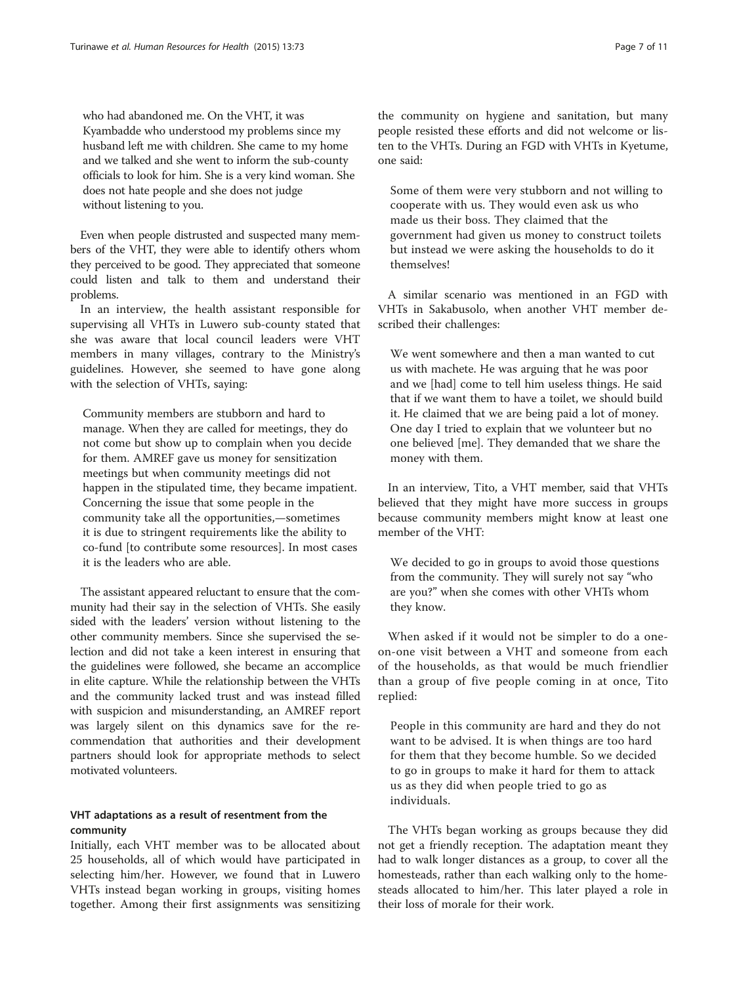who had abandoned me. On the VHT, it was Kyambadde who understood my problems since my husband left me with children. She came to my home and we talked and she went to inform the sub-county officials to look for him. She is a very kind woman. She does not hate people and she does not judge without listening to you.

Even when people distrusted and suspected many members of the VHT, they were able to identify others whom they perceived to be good. They appreciated that someone could listen and talk to them and understand their problems.

In an interview, the health assistant responsible for supervising all VHTs in Luwero sub-county stated that she was aware that local council leaders were VHT members in many villages, contrary to the Ministry's guidelines. However, she seemed to have gone along with the selection of VHTs, saying:

Community members are stubborn and hard to manage. When they are called for meetings, they do not come but show up to complain when you decide for them. AMREF gave us money for sensitization meetings but when community meetings did not happen in the stipulated time, they became impatient. Concerning the issue that some people in the community take all the opportunities,—sometimes it is due to stringent requirements like the ability to co-fund [to contribute some resources]. In most cases it is the leaders who are able.

The assistant appeared reluctant to ensure that the community had their say in the selection of VHTs. She easily sided with the leaders' version without listening to the other community members. Since she supervised the selection and did not take a keen interest in ensuring that the guidelines were followed, she became an accomplice in elite capture. While the relationship between the VHTs and the community lacked trust and was instead filled with suspicion and misunderstanding, an AMREF report was largely silent on this dynamics save for the recommendation that authorities and their development partners should look for appropriate methods to select motivated volunteers.

# VHT adaptations as a result of resentment from the community

Initially, each VHT member was to be allocated about 25 households, all of which would have participated in selecting him/her. However, we found that in Luwero VHTs instead began working in groups, visiting homes together. Among their first assignments was sensitizing

the community on hygiene and sanitation, but many people resisted these efforts and did not welcome or listen to the VHTs. During an FGD with VHTs in Kyetume, one said:

Some of them were very stubborn and not willing to cooperate with us. They would even ask us who made us their boss. They claimed that the government had given us money to construct toilets but instead we were asking the households to do it themselves!

A similar scenario was mentioned in an FGD with VHTs in Sakabusolo, when another VHT member described their challenges:

We went somewhere and then a man wanted to cut us with machete. He was arguing that he was poor and we [had] come to tell him useless things. He said that if we want them to have a toilet, we should build it. He claimed that we are being paid a lot of money. One day I tried to explain that we volunteer but no one believed [me]. They demanded that we share the money with them.

In an interview, Tito, a VHT member, said that VHTs believed that they might have more success in groups because community members might know at least one member of the VHT:

We decided to go in groups to avoid those questions from the community. They will surely not say "who are you?" when she comes with other VHTs whom they know.

When asked if it would not be simpler to do a oneon-one visit between a VHT and someone from each of the households, as that would be much friendlier than a group of five people coming in at once, Tito replied:

People in this community are hard and they do not want to be advised. It is when things are too hard for them that they become humble. So we decided to go in groups to make it hard for them to attack us as they did when people tried to go as individuals.

The VHTs began working as groups because they did not get a friendly reception. The adaptation meant they had to walk longer distances as a group, to cover all the homesteads, rather than each walking only to the homesteads allocated to him/her. This later played a role in their loss of morale for their work.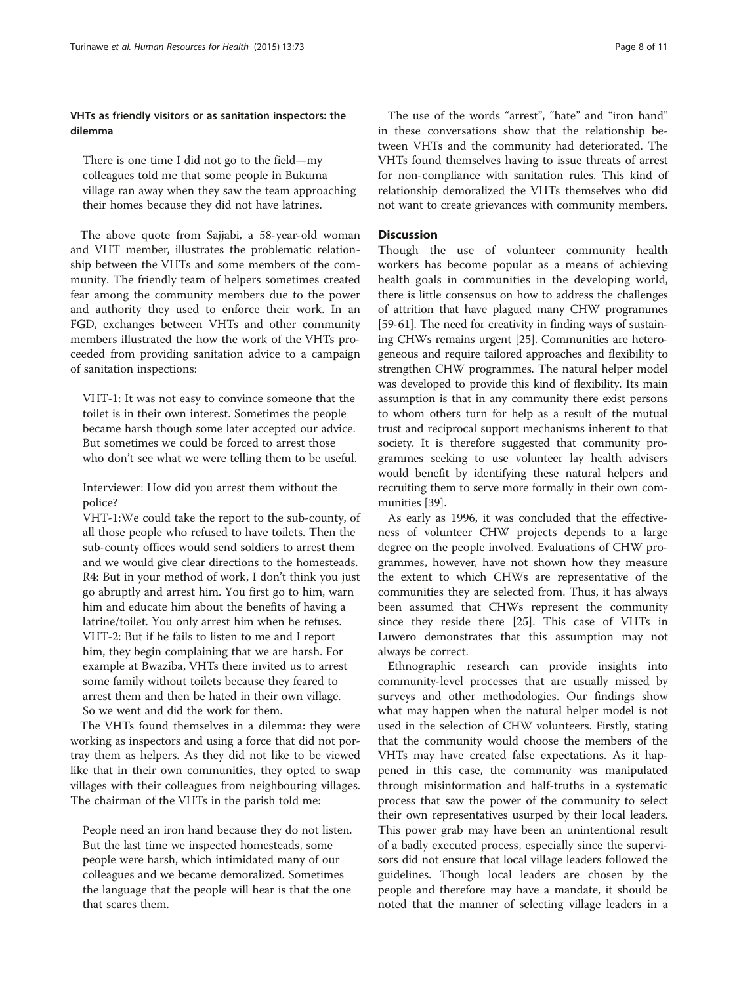# VHTs as friendly visitors or as sanitation inspectors: the dilemma

There is one time I did not go to the field—my colleagues told me that some people in Bukuma village ran away when they saw the team approaching their homes because they did not have latrines.

The above quote from Sajjabi, a 58-year-old woman and VHT member, illustrates the problematic relationship between the VHTs and some members of the community. The friendly team of helpers sometimes created fear among the community members due to the power and authority they used to enforce their work. In an FGD, exchanges between VHTs and other community members illustrated the how the work of the VHTs proceeded from providing sanitation advice to a campaign of sanitation inspections:

VHT-1: It was not easy to convince someone that the toilet is in their own interest. Sometimes the people became harsh though some later accepted our advice. But sometimes we could be forced to arrest those who don't see what we were telling them to be useful.

Interviewer: How did you arrest them without the police?

VHT-1:We could take the report to the sub-county, of all those people who refused to have toilets. Then the sub-county offices would send soldiers to arrest them and we would give clear directions to the homesteads. R4: But in your method of work, I don't think you just go abruptly and arrest him. You first go to him, warn him and educate him about the benefits of having a latrine/toilet. You only arrest him when he refuses. VHT-2: But if he fails to listen to me and I report him, they begin complaining that we are harsh. For example at Bwaziba, VHTs there invited us to arrest some family without toilets because they feared to arrest them and then be hated in their own village. So we went and did the work for them.

The VHTs found themselves in a dilemma: they were working as inspectors and using a force that did not portray them as helpers. As they did not like to be viewed like that in their own communities, they opted to swap villages with their colleagues from neighbouring villages. The chairman of the VHTs in the parish told me:

People need an iron hand because they do not listen. But the last time we inspected homesteads, some people were harsh, which intimidated many of our colleagues and we became demoralized. Sometimes the language that the people will hear is that the one that scares them.

The use of the words "arrest", "hate" and "iron hand" in these conversations show that the relationship between VHTs and the community had deteriorated. The VHTs found themselves having to issue threats of arrest for non-compliance with sanitation rules. This kind of relationship demoralized the VHTs themselves who did not want to create grievances with community members.

# **Discussion**

Though the use of volunteer community health workers has become popular as a means of achieving health goals in communities in the developing world, there is little consensus on how to address the challenges of attrition that have plagued many CHW programmes [[59](#page-11-0)-[61\]](#page-11-0). The need for creativity in finding ways of sustaining CHWs remains urgent [[25](#page-10-0)]. Communities are heterogeneous and require tailored approaches and flexibility to strengthen CHW programmes. The natural helper model was developed to provide this kind of flexibility. Its main assumption is that in any community there exist persons to whom others turn for help as a result of the mutual trust and reciprocal support mechanisms inherent to that society. It is therefore suggested that community programmes seeking to use volunteer lay health advisers would benefit by identifying these natural helpers and recruiting them to serve more formally in their own communities [\[39\]](#page-11-0).

As early as 1996, it was concluded that the effectiveness of volunteer CHW projects depends to a large degree on the people involved. Evaluations of CHW programmes, however, have not shown how they measure the extent to which CHWs are representative of the communities they are selected from. Thus, it has always been assumed that CHWs represent the community since they reside there [\[25](#page-10-0)]. This case of VHTs in Luwero demonstrates that this assumption may not always be correct.

Ethnographic research can provide insights into community-level processes that are usually missed by surveys and other methodologies. Our findings show what may happen when the natural helper model is not used in the selection of CHW volunteers. Firstly, stating that the community would choose the members of the VHTs may have created false expectations. As it happened in this case, the community was manipulated through misinformation and half-truths in a systematic process that saw the power of the community to select their own representatives usurped by their local leaders. This power grab may have been an unintentional result of a badly executed process, especially since the supervisors did not ensure that local village leaders followed the guidelines. Though local leaders are chosen by the people and therefore may have a mandate, it should be noted that the manner of selecting village leaders in a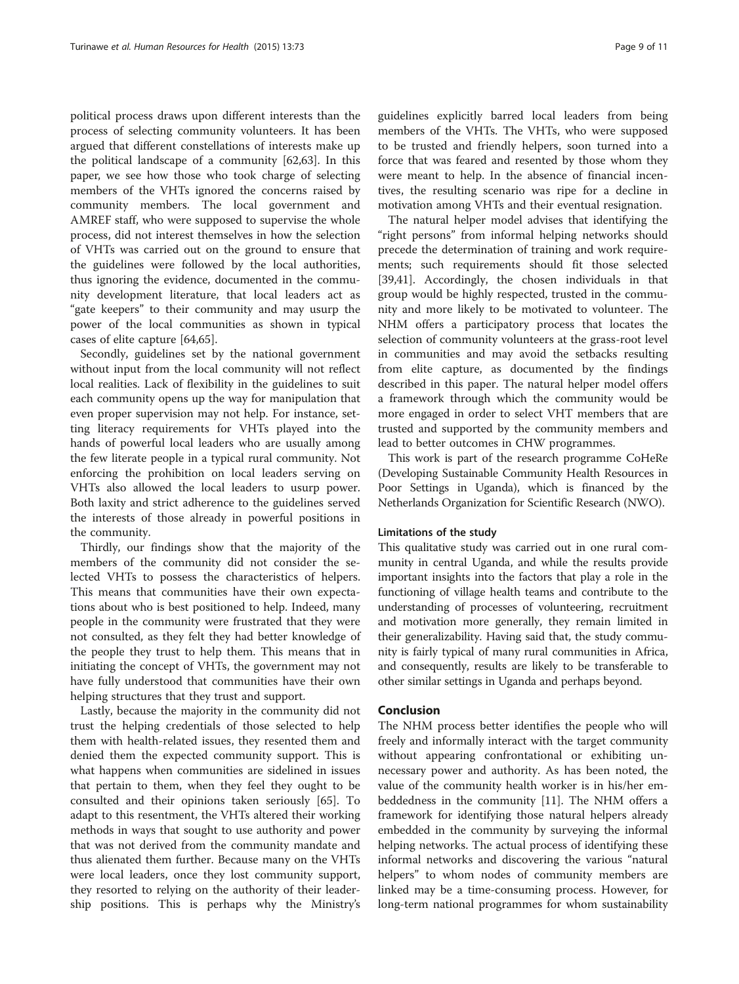political process draws upon different interests than the process of selecting community volunteers. It has been argued that different constellations of interests make up the political landscape of a community [[62,63\]](#page-11-0). In this paper, we see how those who took charge of selecting members of the VHTs ignored the concerns raised by community members. The local government and AMREF staff, who were supposed to supervise the whole process, did not interest themselves in how the selection of VHTs was carried out on the ground to ensure that the guidelines were followed by the local authorities, thus ignoring the evidence, documented in the community development literature, that local leaders act as "gate keepers" to their community and may usurp the power of the local communities as shown in typical cases of elite capture [\[64,65](#page-11-0)].

Secondly, guidelines set by the national government without input from the local community will not reflect local realities. Lack of flexibility in the guidelines to suit each community opens up the way for manipulation that even proper supervision may not help. For instance, setting literacy requirements for VHTs played into the hands of powerful local leaders who are usually among the few literate people in a typical rural community. Not enforcing the prohibition on local leaders serving on VHTs also allowed the local leaders to usurp power. Both laxity and strict adherence to the guidelines served the interests of those already in powerful positions in the community.

Thirdly, our findings show that the majority of the members of the community did not consider the selected VHTs to possess the characteristics of helpers. This means that communities have their own expectations about who is best positioned to help. Indeed, many people in the community were frustrated that they were not consulted, as they felt they had better knowledge of the people they trust to help them. This means that in initiating the concept of VHTs, the government may not have fully understood that communities have their own helping structures that they trust and support.

Lastly, because the majority in the community did not trust the helping credentials of those selected to help them with health-related issues, they resented them and denied them the expected community support. This is what happens when communities are sidelined in issues that pertain to them, when they feel they ought to be consulted and their opinions taken seriously [\[65](#page-11-0)]. To adapt to this resentment, the VHTs altered their working methods in ways that sought to use authority and power that was not derived from the community mandate and thus alienated them further. Because many on the VHTs were local leaders, once they lost community support, they resorted to relying on the authority of their leadership positions. This is perhaps why the Ministry's guidelines explicitly barred local leaders from being members of the VHTs. The VHTs, who were supposed to be trusted and friendly helpers, soon turned into a force that was feared and resented by those whom they were meant to help. In the absence of financial incentives, the resulting scenario was ripe for a decline in motivation among VHTs and their eventual resignation.

The natural helper model advises that identifying the "right persons" from informal helping networks should precede the determination of training and work requirements; such requirements should fit those selected [[39,41\]](#page-11-0). Accordingly, the chosen individuals in that group would be highly respected, trusted in the community and more likely to be motivated to volunteer. The NHM offers a participatory process that locates the selection of community volunteers at the grass-root level in communities and may avoid the setbacks resulting from elite capture, as documented by the findings described in this paper. The natural helper model offers a framework through which the community would be more engaged in order to select VHT members that are trusted and supported by the community members and lead to better outcomes in CHW programmes.

This work is part of the research programme CoHeRe (Developing Sustainable Community Health Resources in Poor Settings in Uganda), which is financed by the Netherlands Organization for Scientific Research (NWO).

## Limitations of the study

This qualitative study was carried out in one rural community in central Uganda, and while the results provide important insights into the factors that play a role in the functioning of village health teams and contribute to the understanding of processes of volunteering, recruitment and motivation more generally, they remain limited in their generalizability. Having said that, the study community is fairly typical of many rural communities in Africa, and consequently, results are likely to be transferable to other similar settings in Uganda and perhaps beyond.

#### Conclusion

The NHM process better identifies the people who will freely and informally interact with the target community without appearing confrontational or exhibiting unnecessary power and authority. As has been noted, the value of the community health worker is in his/her embeddedness in the community [\[11](#page-10-0)]. The NHM offers a framework for identifying those natural helpers already embedded in the community by surveying the informal helping networks. The actual process of identifying these informal networks and discovering the various "natural helpers" to whom nodes of community members are linked may be a time-consuming process. However, for long-term national programmes for whom sustainability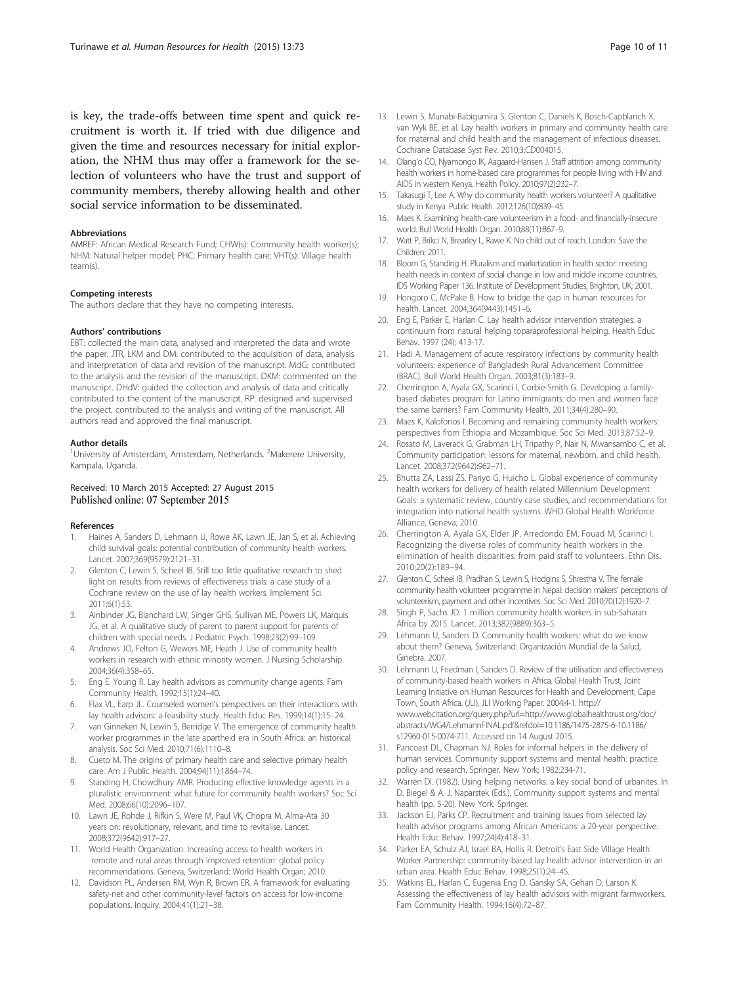<span id="page-10-0"></span>is key, the trade-offs between time spent and quick recruitment is worth it. If tried with due diligence and given the time and resources necessary for initial exploration, the NHM thus may offer a framework for the selection of volunteers who have the trust and support of community members, thereby allowing health and other social service information to be disseminated.

#### Abbreviations

AMREF: African Medical Research Fund; CHW(s): Community health worker(s); NHM: Natural helper model; PHC: Primary health care; VHT(s): Village health team(s).

#### Competing interests

The authors declare that they have no competing interests.

#### Authors' contributions

EBT: collected the main data, analysed and interpreted the data and wrote the paper. JTR, LKM and DM: contributed to the acquisition of data, analysis and interpretation of data and revision of the manuscript. MdG: contributed to the analysis and the revision of the manuscript. DKM: commented on the manuscript. DHdV: guided the collection and analysis of data and critically contributed to the content of the manuscript. RP: designed and supervised the project, contributed to the analysis and writing of the manuscript. All authors read and approved the final manuscript.

#### Author details

<sup>1</sup>University of Amsterdam, Amsterdam, Netherlands. <sup>2</sup>Makerere University, Kampala, Uganda.

# Received: 10 March 2015 Accepted: 27 August 2015 Published online: 07 September 2015

#### References

- Haines A, Sanders D, Lehmann U, Rowe AK, Lawn JE, Jan S, et al. Achieving child survival goals: potential contribution of community health workers. Lancet. 2007;369(9579):2121–31.
- 2. Glenton C, Lewin S, Scheel IB. Still too little qualitative research to shed light on results from reviews of effectiveness trials: a case study of a Cochrane review on the use of lay health workers. Implement Sci. 2011;6(1):53.
- 3. Ainbinder JG, Blanchard LW, Singer GHS, Sullivan ME, Powers LK, Marquis JG, et al. A qualitative study of parent to parent support for parents of children with special needs. J Pediatric Psych. 1998;23(2):99–109.
- 4. Andrews JO, Felton G, Wewers ME, Heath J. Use of community health workers in research with ethnic minority women. J Nursing Scholarship. 2004;36(4):358–65.
- 5. Eng E, Young R. Lay health advisors as community change agents. Fam Community Health. 1992;15(1):24–40.
- 6. Flax VL, Earp JL. Counseled women's perspectives on their interactions with lay health advisors: a feasibility study. Health Educ Res. 1999;14(1):15–24.
- 7. van Ginneken N, Lewin S, Berridge V. The emergence of community health worker programmes in the late apartheid era in South Africa: an historical analysis. Soc Sci Med. 2010;71(6):1110–8.
- 8. Cueto M. The origins of primary health care and selective primary health care. Am J Public Health. 2004;94(11):1864–74.
- 9. Standing H, Chowdhury AMR. Producing effective knowledge agents in a pluralistic environment: what future for community health workers? Soc Sci Med. 2008;66(10):2096–107.
- 10. Lawn JE, Rohde J, Rifkin S, Were M, Paul VK, Chopra M. Alma-Ata 30 years on: revolutionary, relevant, and time to revitalise. Lancet. 2008;372(9642):917–27.
- 11. World Health Organization. Increasing access to health workers in remote and rural areas through improved retention: global policy recommendations. Geneva, Switzerland: World Health Organ; 2010.
- 12. Davidson PL, Andersen RM, Wyn R, Brown ER. A framework for evaluating safety-net and other community-level factors on access for low-income populations. Inquiry. 2004;41(1):21–38.
- 13. Lewin S, Munabi-Babigumira S, Glenton C, Daniels K, Bosch-Capblanch X, van Wyk BE, et al. Lay health workers in primary and community health care for maternal and child health and the management of infectious diseases. Cochrane Database Syst Rev. 2010;3:CD004015.
- 14. Olang'o CO, Nyamongo IK, Aagaard-Hansen J. Staff attrition among community health workers in home-based care programmes for people living with HIV and AIDS in western Kenya. Health Policy. 2010;97(2):232–7.
- 15. Takasugi T, Lee A. Why do community health workers volunteer? A qualitative study in Kenya. Public Health. 2012;126(10):839–45.
- 16. Maes K. Examining health-care volunteerism in a food- and financially-insecure world. Bull World Health Organ. 2010;88(11):867–9.
- 17. Watt P, Brikci N, Brearley L, Rawe K. No child out of reach. London: Save the Children; 2011.
- 18. Bloom G, Standing H. Pluralism and marketization in health sector: meeting health needs in context of social change in low and middle income countries. IDS Working Paper 136. Institute of Development Studies, Brighton, UK; 2001.
- 19. Hongoro C, McPake B. How to bridge the gap in human resources for health. Lancet. 2004;364(9443):1451–6.
- 20. Eng E, Parker E, Harlan C. Lay health advisor intervention strategies: a continuum from natural helping toparaprofessional helping. Health Educ Behav. 1997 (24); 413-17.
- 21. Hadi A. Management of acute respiratory infections by community health volunteers: experience of Bangladesh Rural Advancement Committee (BRAC). Bull World Health Organ. 2003;81(3):183–9.
- 22. Cherrington A, Ayala GX, Scarinci I, Corbie-Smith G. Developing a familybased diabetes program for Latino immigrants: do men and women face the same barriers? Fam Community Health. 2011;34(4):280–90.
- 23. Maes K, Kalofonos I. Becoming and remaining community health workers: perspectives from Ethiopia and Mozambique. Soc Sci Med. 2013;87:52–9.
- 24. Rosato M, Laverack G, Grabman LH, Tripathy P, Nair N, Mwansambo C, et al. Community participation: lessons for maternal, newborn, and child health. Lancet. 2008;372(9642):962–71.
- 25. Bhutta ZA, Lassi ZS, Pariyo G, Huicho L. Global experience of community health workers for delivery of health related Millennium Development Goals: a systematic review, country case studies, and recommendations for integration into national health systems. WHO Global Health Workforce Alliance, Geneva; 2010.
- 26. Cherrington A, Ayala GX, Elder JP, Arredondo EM, Fouad M, Scarinci I. Recognizing the diverse roles of community health workers in the elimination of health disparities: from paid staff to volunteers. Ethn Dis. 2010;20(2):189–94.
- 27. Glenton C, Scheel IB, Pradhan S, Lewin S, Hodgins S, Shrestha V. The female community health volunteer programme in Nepal: decision makers' perceptions of volunteerism, payment and other incentives. Soc Sci Med. 2010;70(12):1920–7.
- 28. Singh P, Sachs JD. 1 million community health workers in sub-Saharan Africa by 2015. Lancet. 2013;382(9889):363–5.
- 29. Lehmann U, Sanders D. Community health workers: what do we know about them? Geneva, Switzerland: Organización Mundial de la Salud, Ginebra. 2007.
- 30. Lehmann U, Friedman I, Sanders D. Review of the utilisation and effectiveness of community-based health workers in Africa. Global Health Trust, Joint Learning Initiative on Human Resources for Health and Development, Cape Town, South Africa. (JLI), JLI Working Paper. 2004:4-1. [http://](http://scholar.harvard.edu/files/remahanna/files/6_elite_capture.pdf) [www.webcitation.org/query.php?url=http://www.globalhealthtrust.org/doc/](http://scholar.harvard.edu/files/remahanna/files/6_elite_capture.pdf) [abstracts/WG4/LehmannFINAL.pdf&refdoi=10.1186/1475-2875-6-10.1186/](http://scholar.harvard.edu/files/remahanna/files/6_elite_capture.pdf) [s12960-015-0074-711](http://scholar.harvard.edu/files/remahanna/files/6_elite_capture.pdf). Accessed on 14 August 2015.
- 31. Pancoast DL, Chapman NJ. Roles for informal helpers in the delivery of human services. Community support systems and mental health: practice policy and research. Springer. New York; 1982:234-71.
- 32. Warren DI. (1982). Using helping networks: a key social bond of urbanites. In D. Biegel & A. J. Naparstek (Eds.), Community support systems and mental health (pp. 5-20). New York: Springer.
- 33. Jackson EJ, Parks CP. Recruitment and training issues from selected lay health advisor programs among African Americans: a 20-year perspective. Health Educ Behav. 1997;24(4):418–31.
- 34. Parker EA, Schulz AJ, Israel BA, Hollis R. Detroit's East Side Village Health Worker Partnership: community-based lay health advisor intervention in an urban area. Health Educ Behav. 1998;25(1):24–45.
- 35. Watkins EL, Harlan C, Eugenia Eng D, Gansky SA, Gehan D, Larson K. Assessing the effectiveness of lay health advisors with migrant farmworkers. Fam Community Health. 1994;16(4):72–87.